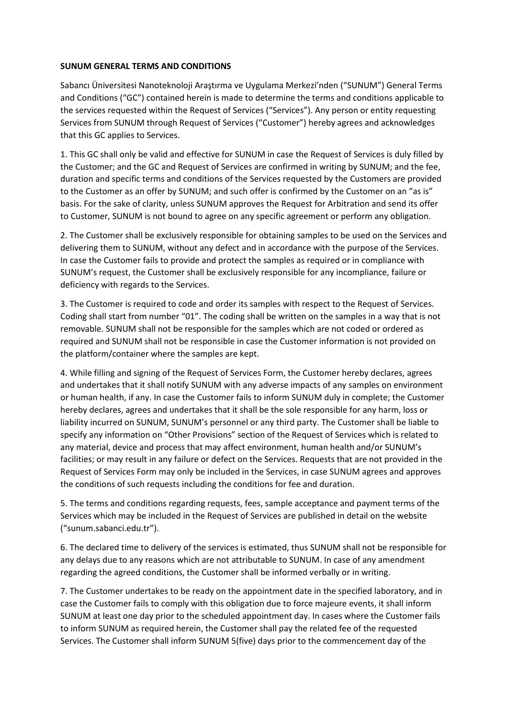## **SUNUM GENERAL TERMS AND CONDITIONS**

Sabancı Üniversitesi Nanoteknoloji Araştırma ve Uygulama Merkezi'nden ("SUNUM") General Terms and Conditions ("GC") contained herein is made to determine the terms and conditions applicable to the services requested within the Request of Services ("Services"). Any person or entity requesting Services from SUNUM through Request of Services ("Customer") hereby agrees and acknowledges that this GC applies to Services.

1. This GC shall only be valid and effective for SUNUM in case the Request of Services is duly filled by the Customer; and the GC and Request of Services are confirmed in writing by SUNUM; and the fee, duration and specific terms and conditions of the Services requested by the Customers are provided to the Customer as an offer by SUNUM; and such offer is confirmed by the Customer on an "as is" basis. For the sake of clarity, unless SUNUM approves the Request for Arbitration and send its offer to Customer, SUNUM is not bound to agree on any specific agreement or perform any obligation.

2. The Customer shall be exclusively responsible for obtaining samples to be used on the Services and delivering them to SUNUM, without any defect and in accordance with the purpose of the Services. In case the Customer fails to provide and protect the samples as required or in compliance with SUNUM's request, the Customer shall be exclusively responsible for any incompliance, failure or deficiency with regards to the Services.

3. The Customer is required to code and order its samples with respect to the Request of Services. Coding shall start from number "01". The coding shall be written on the samples in a way that is not removable. SUNUM shall not be responsible for the samples which are not coded or ordered as required and SUNUM shall not be responsible in case the Customer information is not provided on the platform/container where the samples are kept.

4. While filling and signing of the Request of Services Form, the Customer hereby declares, agrees and undertakes that it shall notify SUNUM with any adverse impacts of any samples on environment or human health, if any. In case the Customer fails to inform SUNUM duly in complete; the Customer hereby declares, agrees and undertakes that it shall be the sole responsible for any harm, loss or liability incurred on SUNUM, SUNUM's personnel or any third party. The Customer shall be liable to specify any information on "Other Provisions" section of the Request of Services which is related to any material, device and process that may affect environment, human health and/or SUNUM's facilities; or may result in any failure or defect on the Services. Requests that are not provided in the Request of Services Form may only be included in the Services, in case SUNUM agrees and approves the conditions of such requests including the conditions for fee and duration.

5. The terms and conditions regarding requests, fees, sample acceptance and payment terms of the Services which may be included in the Request of Services are published in detail on the website ("sunum.sabanci.edu.tr").

6. The declared time to delivery of the services is estimated, thus SUNUM shall not be responsible for any delays due to any reasons which are not attributable to SUNUM. In case of any amendment regarding the agreed conditions, the Customer shall be informed verbally or in writing.

7. The Customer undertakes to be ready on the appointment date in the specified laboratory, and in case the Customer fails to comply with this obligation due to force majeure events, it shall inform SUNUM at least one day prior to the scheduled appointment day. In cases where the Customer fails to inform SUNUM as required herein, the Customer shall pay the related fee of the requested Services. The Customer shall inform SUNUM 5(five) days prior to the commencement day of the